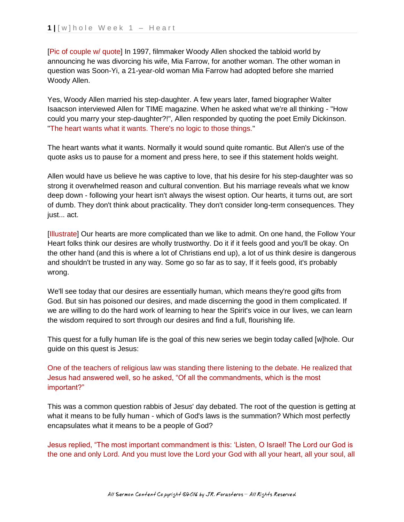[Pic of couple w/ quote] In 1997, filmmaker Woody Allen shocked the tabloid world by announcing he was divorcing his wife, Mia Farrow, for another woman. The other woman in question was Soon-Yi, a 21-year-old woman Mia Farrow had adopted before she married Woody Allen.

Yes, Woody Allen married his step-daughter. A few years later, famed biographer Walter Isaacson interviewed Allen for TIME magazine. When he asked what we're all thinking - "How could you marry your step-daughter?!", Allen responded by quoting the poet Emily Dickinson. "The heart wants what it wants. There's no logic to those things."

The heart wants what it wants. Normally it would sound quite romantic. But Allen's use of the quote asks us to pause for a moment and press here, to see if this statement holds weight.

Allen would have us believe he was captive to love, that his desire for his step-daughter was so strong it overwhelmed reason and cultural convention. But his marriage reveals what we know deep down - following your heart isn't always the wisest option. Our hearts, it turns out, are sort of dumb. They don't think about practicality. They don't consider long-term consequences. They just... act.

[Illustrate] Our hearts are more complicated than we like to admit. On one hand, the Follow Your Heart folks think our desires are wholly trustworthy. Do it if it feels good and you'll be okay. On the other hand (and this is where a lot of Christians end up), a lot of us think desire is dangerous and shouldn't be trusted in any way. Some go so far as to say, If it feels good, it's probably wrong.

We'll see today that our desires are essentially human, which means they're good gifts from God. But sin has poisoned our desires, and made discerning the good in them complicated. If we are willing to do the hard work of learning to hear the Spirit's voice in our lives, we can learn the wisdom required to sort through our desires and find a full, flourishing life.

This quest for a fully human life is the goal of this new series we begin today called [w]hole. Our guide on this quest is Jesus:

One of the teachers of religious law was standing there listening to the debate. He realized that Jesus had answered well, so he asked, "Of all the commandments, which is the most important?"

This was a common question rabbis of Jesus' day debated. The root of the question is getting at what it means to be fully human - which of God's laws is the summation? Which most perfectly encapsulates what it means to be a people of God?

Jesus replied, "The most important commandment is this: 'Listen, O Israel! The Lord our God is the one and only Lord. And you must love the Lord your God with all your heart, all your soul, all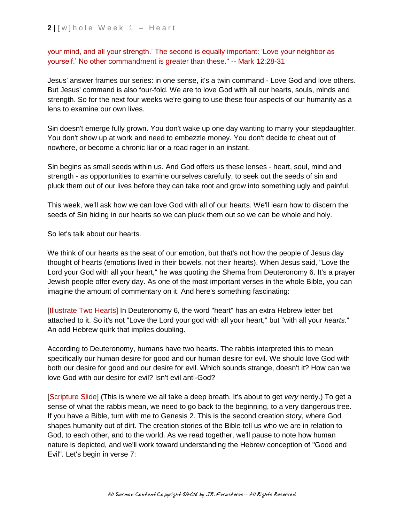your mind, and all your strength.' The second is equally important: 'Love your neighbor as yourself.' No other commandment is greater than these." -- Mark 12:28-31

Jesus' answer frames our series: in one sense, it's a twin command - Love God and love others. But Jesus' command is also four-fold. We are to love God with all our hearts, souls, minds and strength. So for the next four weeks we're going to use these four aspects of our humanity as a lens to examine our own lives.

Sin doesn't emerge fully grown. You don't wake up one day wanting to marry your stepdaughter. You don't show up at work and need to embezzle money. You don't decide to cheat out of nowhere, or become a chronic liar or a road rager in an instant.

Sin begins as small seeds within us. And God offers us these lenses - heart, soul, mind and strength - as opportunities to examine ourselves carefully, to seek out the seeds of sin and pluck them out of our lives before they can take root and grow into something ugly and painful.

This week, we'll ask how we can love God with all of our hearts. We'll learn how to discern the seeds of Sin hiding in our hearts so we can pluck them out so we can be whole and holy.

So let's talk about our hearts.

We think of our hearts as the seat of our emotion, but that's not how the people of Jesus day thought of hearts (emotions lived in their bowels, not their hearts). When Jesus said, "Love the Lord your God with all your heart," he was quoting the Shema from Deuteronomy 6. It's a prayer Jewish people offer every day. As one of the most important verses in the whole Bible, you can imagine the amount of commentary on it. And here's something fascinating:

[Illustrate Two Hearts] In Deuteronomy 6, the word "heart" has an extra Hebrew letter bet attached to it. So it's not "Love the Lord your god with all your heart," but "with all your *hearts*." An odd Hebrew quirk that implies doubling.

According to Deuteronomy, humans have two hearts. The rabbis interpreted this to mean specifically our human desire for good and our human desire for evil. We should love God with both our desire for good and our desire for evil. Which sounds strange, doesn't it? How can we love God with our desire for evil? Isn't evil anti-God?

[Scripture Slide] (This is where we all take a deep breath. It's about to get *very* nerdy.) To get a sense of what the rabbis mean, we need to go back to the beginning, to a very dangerous tree. If you have a Bible, turn with me to Genesis 2. This is the second creation story, where God shapes humanity out of dirt. The creation stories of the Bible tell us who we are in relation to God, to each other, and to the world. As we read together, we'll pause to note how human nature is depicted, and we'll work toward understanding the Hebrew conception of "Good and Evil". Let's begin in verse 7: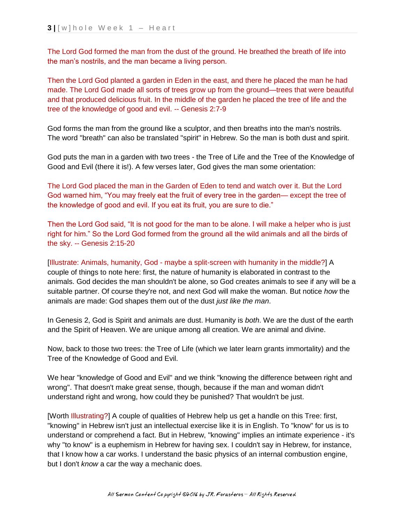The Lord God formed the man from the dust of the ground. He breathed the breath of life into the man's nostrils, and the man became a living person.

Then the Lord God planted a garden in Eden in the east, and there he placed the man he had made. The Lord God made all sorts of trees grow up from the ground—trees that were beautiful and that produced delicious fruit. In the middle of the garden he placed the tree of life and the tree of the knowledge of good and evil. -- Genesis 2:7-9

God forms the man from the ground like a sculptor, and then breaths into the man's nostrils. The word "breath" can also be translated "spirit" in Hebrew. So the man is both dust and spirit.

God puts the man in a garden with two trees - the Tree of Life and the Tree of the Knowledge of Good and Evil (there it is!). A few verses later, God gives the man some orientation:

The Lord God placed the man in the Garden of Eden to tend and watch over it. But the Lord God warned him, "You may freely eat the fruit of every tree in the garden— except the tree of the knowledge of good and evil. If you eat its fruit, you are sure to die."

Then the Lord God said, "It is not good for the man to be alone. I will make a helper who is just right for him." So the Lord God formed from the ground all the wild animals and all the birds of the sky. -- Genesis 2:15-20

[Illustrate: Animals, humanity, God - maybe a split-screen with humanity in the middle?] A couple of things to note here: first, the nature of humanity is elaborated in contrast to the animals. God decides the man shouldn't be alone, so God creates animals to see if any will be a suitable partner. Of course they're not, and next God will make the woman. But notice *how* the animals are made: God shapes them out of the dust *just like the man*.

In Genesis 2, God is Spirit and animals are dust. Humanity is *both*. We are the dust of the earth and the Spirit of Heaven. We are unique among all creation. We are animal and divine.

Now, back to those two trees: the Tree of Life (which we later learn grants immortality) and the Tree of the Knowledge of Good and Evil.

We hear "knowledge of Good and Evil" and we think "knowing the difference between right and wrong". That doesn't make great sense, though, because if the man and woman didn't understand right and wrong, how could they be punished? That wouldn't be just.

[Worth Illustrating?] A couple of qualities of Hebrew help us get a handle on this Tree: first, "knowing" in Hebrew isn't just an intellectual exercise like it is in English. To "know" for us is to understand or comprehend a fact. But in Hebrew, "knowing" implies an intimate experience - it's why "to know" is a euphemism in Hebrew for having sex. I couldn't say in Hebrew, for instance, that I know how a car works. I understand the basic physics of an internal combustion engine, but I don't *know* a car the way a mechanic does.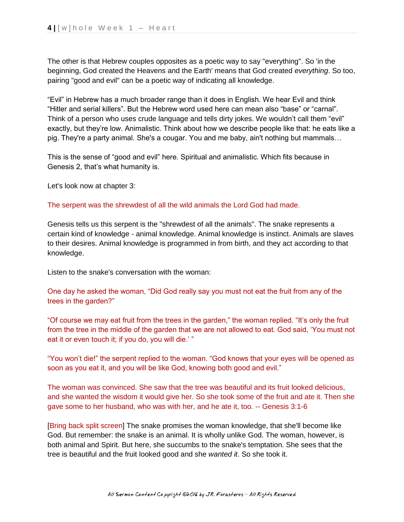The other is that Hebrew couples opposites as a poetic way to say "everything". So 'in the beginning, God created the Heavens and the Earth' means that God created *everything*. So too, pairing "good and evil" can be a poetic way of indicating all knowledge.

"Evil" in Hebrew has a much broader range than it does in English. We hear Evil and think "Hitler and serial killers". But the Hebrew word used here can mean also "base" or "carnal". Think of a person who uses crude language and tells dirty jokes. We wouldn't call them "evil" exactly, but they're low. Animalistic. Think about how we describe people like that: he eats like a pig. They're a party animal. She's a cougar. You and me baby, ain't nothing but mammals…

This is the sense of "good and evil" here. Spiritual and animalistic. Which fits because in Genesis 2, that's what humanity is.

Let's look now at chapter 3:

## The serpent was the shrewdest of all the wild animals the Lord God had made.

Genesis tells us this serpent is the "shrewdest of all the animals". The snake represents a certain kind of knowledge - animal knowledge. Animal knowledge is instinct. Animals are slaves to their desires. Animal knowledge is programmed in from birth, and they act according to that knowledge.

Listen to the snake's conversation with the woman:

One day he asked the woman, "Did God really say you must not eat the fruit from any of the trees in the garden?"

"Of course we may eat fruit from the trees in the garden," the woman replied. "It's only the fruit from the tree in the middle of the garden that we are not allowed to eat. God said, 'You must not eat it or even touch it; if you do, you will die.'"

"You won't die!" the serpent replied to the woman. "God knows that your eyes will be opened as soon as you eat it, and you will be like God, knowing both good and evil."

The woman was convinced. She saw that the tree was beautiful and its fruit looked delicious, and she wanted the wisdom it would give her. So she took some of the fruit and ate it. Then she gave some to her husband, who was with her, and he ate it, too. -- Genesis 3:1-6

[Bring back split screen] The snake promises the woman knowledge, that she'll become like God. But remember: the snake is an animal. It is wholly unlike God. The woman, however, is both animal and Spirit. But here, she succumbs to the snake's temptation. She sees that the tree is beautiful and the fruit looked good and she *wanted it*. So she took it.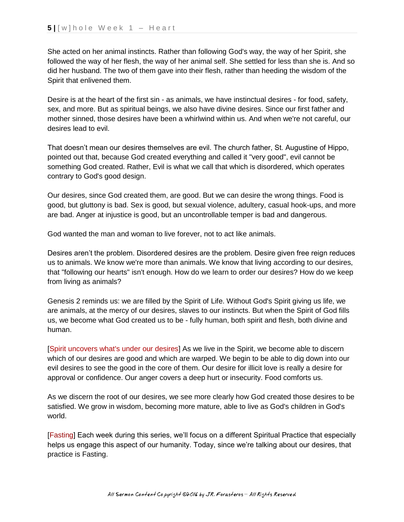She acted on her animal instincts. Rather than following God's way, the way of her Spirit, she followed the way of her flesh, the way of her animal self. She settled for less than she is. And so did her husband. The two of them gave into their flesh, rather than heeding the wisdom of the Spirit that enlivened them.

Desire is at the heart of the first sin - as animals, we have instinctual desires - for food, safety, sex, and more. But as spiritual beings, we also have divine desires. Since our first father and mother sinned, those desires have been a whirlwind within us. And when we're not careful, our desires lead to evil.

That doesn't mean our desires themselves are evil. The church father, St. Augustine of Hippo, pointed out that, because God created everything and called it "very good", evil cannot be something God created. Rather, Evil is what we call that which is disordered, which operates contrary to God's good design.

Our desires, since God created them, are good. But we can desire the wrong things. Food is good, but gluttony is bad. Sex is good, but sexual violence, adultery, casual hook-ups, and more are bad. Anger at injustice is good, but an uncontrollable temper is bad and dangerous.

God wanted the man and woman to live forever, not to act like animals.

Desires aren't the problem. Disordered desires are the problem. Desire given free reign reduces us to animals. We know we're more than animals. We know that living according to our desires, that "following our hearts" isn't enough. How do we learn to order our desires? How do we keep from living as animals?

Genesis 2 reminds us: we are filled by the Spirit of Life. Without God's Spirit giving us life, we are animals, at the mercy of our desires, slaves to our instincts. But when the Spirit of God fills us, we become what God created us to be - fully human, both spirit and flesh, both divine and human.

[Spirit uncovers what's under our desires] As we live in the Spirit, we become able to discern which of our desires are good and which are warped. We begin to be able to dig down into our evil desires to see the good in the core of them. Our desire for illicit love is really a desire for approval or confidence. Our anger covers a deep hurt or insecurity. Food comforts us.

As we discern the root of our desires, we see more clearly how God created those desires to be satisfied. We grow in wisdom, becoming more mature, able to live as God's children in God's world.

[Fasting] Each week during this series, we'll focus on a different Spiritual Practice that especially helps us engage this aspect of our humanity. Today, since we're talking about our desires, that practice is Fasting.